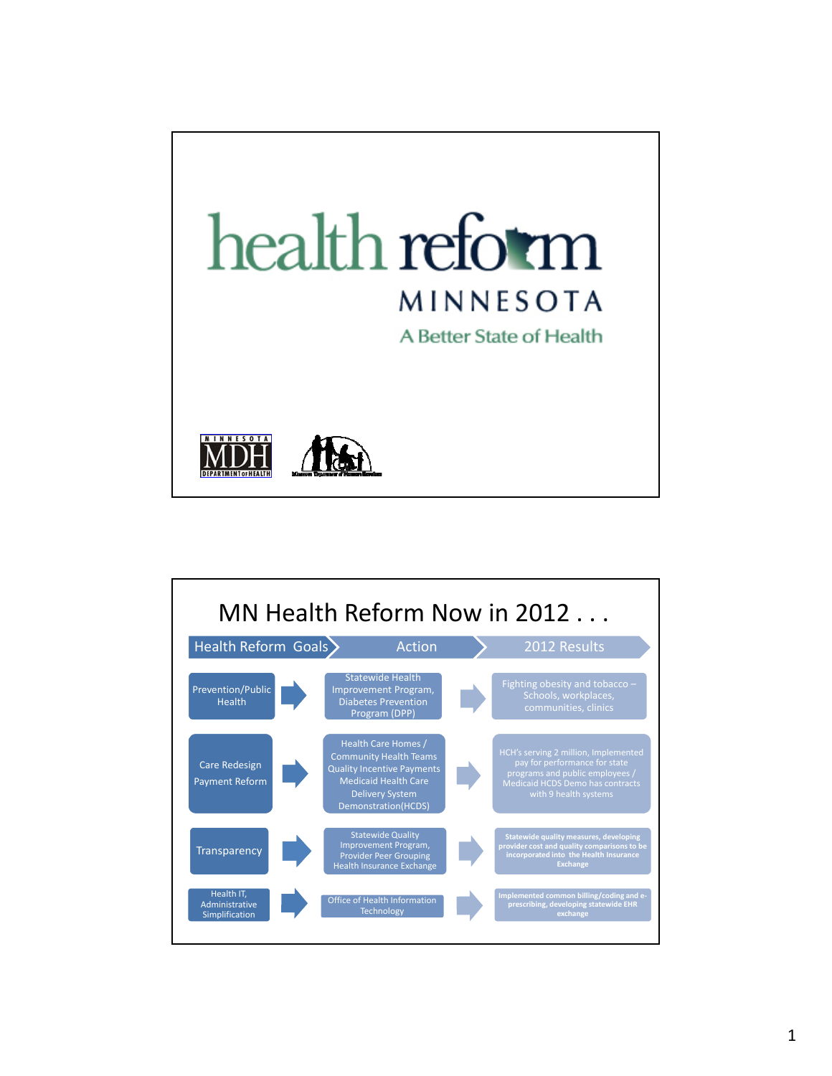

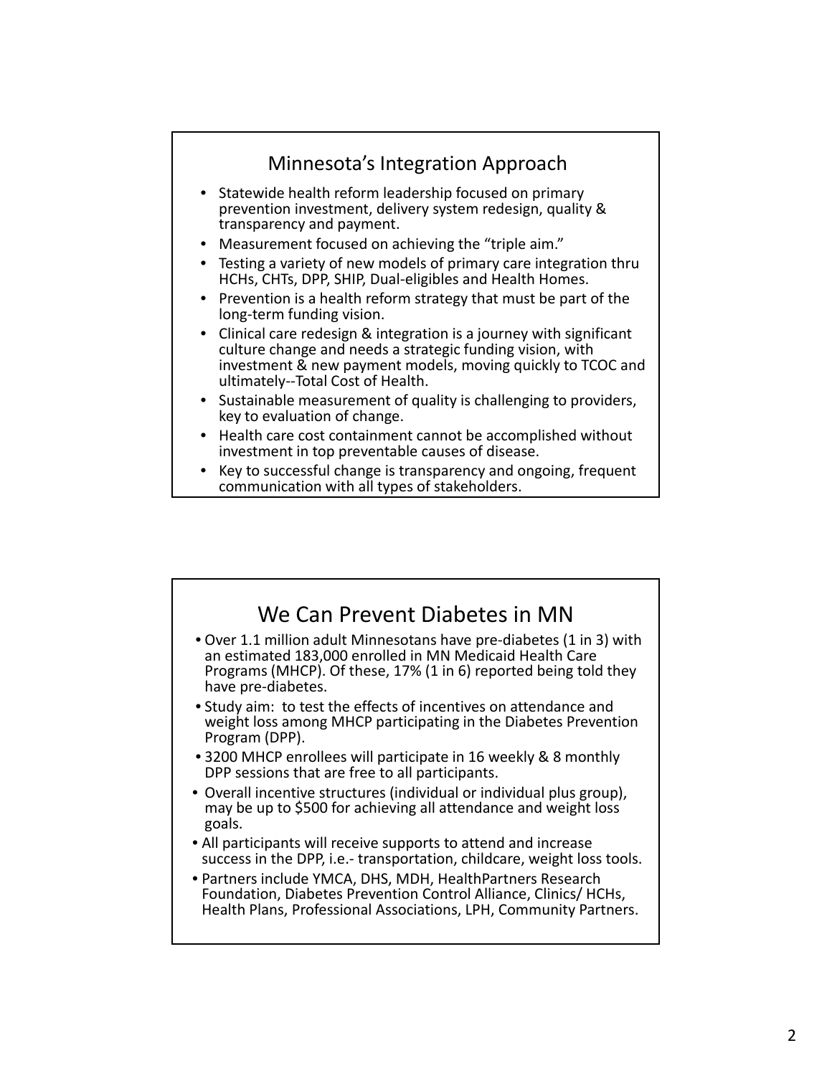